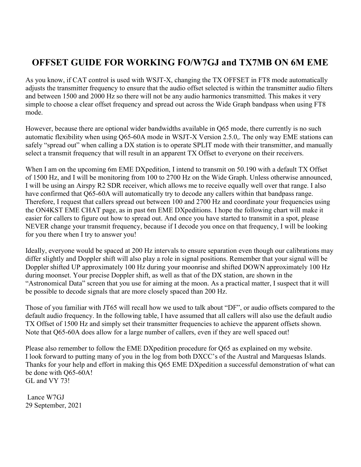## OFFSET GUIDE FOR WORKING FO/W7GJ and TX7MB ON 6M EME

As you know, if CAT control is used with WSJT-X, changing the TX OFFSET in FT8 mode automatically adjusts the transmitter frequency to ensure that the audio offset selected is within the transmitter audio filters and between 1500 and 2000 Hz so there will not be any audio harmonics transmitted. This makes it very simple to choose a clear offset frequency and spread out across the Wide Graph bandpass when using FT8 mode.

However, because there are optional wider bandwidths available in Q65 mode, there currently is no such automatic flexibility when using Q65-60A mode in WSJT-X Version 2.5.0,. The only way EME stations can safely "spread out" when calling a DX station is to operate SPLIT mode with their transmitter, and manually select a transmit frequency that will result in an apparent TX Offset to everyone on their receivers.

When I am on the upcoming 6m EME DXpedition, I intend to transmit on 50.190 with a default TX Offset of 1500 Hz, and I will be monitoring from 100 to 2700 Hz on the Wide Graph. Unless otherwise announced, I will be using an Airspy R2 SDR receiver, which allows me to receive equally well over that range. I also have confirmed that Q65-60A will automatically try to decode any callers within that bandpass range. Therefore, I request that callers spread out between 100 and 2700 Hz and coordinate your frequencies using the ON4KST EME CHAT page, as in past 6m EME DXpeditions. I hope the following chart will make it easier for callers to figure out how to spread out. And once you have started to transmit in a spot, please NEVER change your transmit frequency, because if I decode you once on that frequency, I will be looking for you there when I try to answer you!

Ideally, everyone would be spaced at 200 Hz intervals to ensure separation even though our calibrations may differ slightly and Doppler shift will also play a role in signal positions. Remember that your signal will be Doppler shifted UP approximately 100 Hz during your moonrise and shifted DOWN approximately 100 Hz during moonset. Your precise Doppler shift, as well as that of the DX station, are shown in the "Astronomical Data" screen that you use for aiming at the moon. As a practical matter, I suspect that it will be possible to decode signals that are more closely spaced than 200 Hz.

Those of you familiar with JT65 will recall how we used to talk about "DF", or audio offsets compared to the default audio frequency. In the following table, I have assumed that all callers will also use the default audio TX Offset of 1500 Hz and simply set their transmitter frequencies to achieve the apparent offsets shown. Note that Q65-60A does allow for a large number of callers, even if they are well spaced out!

Please also remember to follow the EME DXpedition procedure for Q65 as explained on my website. I look forward to putting many of you in the log from both DXCC's of the Austral and Marquesas Islands. Thanks for your help and effort in making this Q65 EME DXpedition a successful demonstration of what can be done with Q65-60A! GL and VY 73!

 Lance W7GJ 29 September, 2021